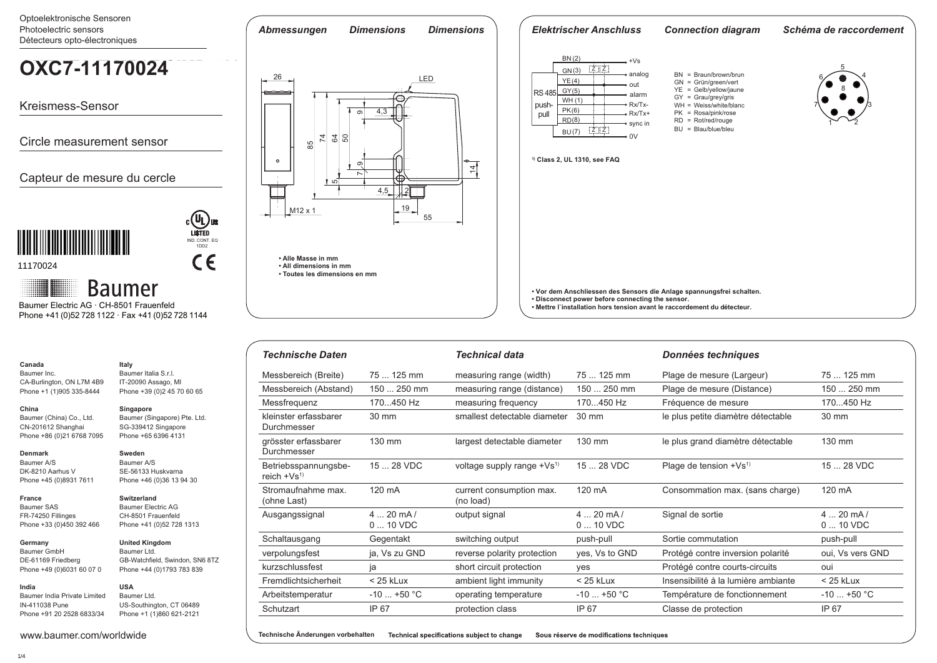Optoelektronische Sensoren Photoelectric sensors *Abmessungen Dimensions Dimensions Elektrischer Anschluss Connection diagram Schéma de raccordement* Détecteurs opto-électroniques <u>BN (2)</u>  $+Vs$ **OXE7.E25T-MB3E.SIMD.7AI OXC7-11170024**  $Z$   $Z$ GN(3) 5 analog BN = Braun/brown/brun 26 LED 4 6 GN = Grün/green/vert <u>YE (4)</u> out YE = Gelb/yellow/jaune 8 **RS 485** <u>GY(5)</u> alarm GY = Grau/grey/gris WH (1) Kreismess-Sensor push Rx/Tx- WH = Weiss/white/blanc 3 7 4,3 (6) PK PK = Rosa/pink/rose **pull** Rx/Tx+ တ RD = Rot/red/rouge <u>RD(8)</u> sync in  $1^{\sim}$   $-2$  $BU = BIau/bIue/bIeu$  $\overline{z}$   $\overline{z}$ (7) BU 74  $\sim$  $\frac{2}{3}$ Circle measurement sensor  $\frac{1}{85}$ **1) Class 2, UL 1310, see FAQ**  $\circ$ ्यं တ Capteur de mesure du cercle 757 4,5 2 П 19 M12 x 1 55 **INA A INA ANDA A INA ANDA A INA ANDA A** IND. CONT. EQ 1DD2  $C \in$ **• Alle Masse in mm** 11170024 **• All dimensions in mm • Toutes les dimensions en mm Baumer • Vor dem Anschliessen des Sensors die Anlage spannungsfrei schalten. • Disconnect power before connecting the sensor.**  Baumer Electric AG · CH-8501 Frauenfeld **• Mettre l`installation hors tension avant le raccordement du détecteur.** Phone +41 (0)52 728 1122 · Fax +41 (0)52 728 1144

| <b>Technische Daten</b>                 |                        | <b>Technical data</b>                 |                        | Données techniques                  |                        |
|-----------------------------------------|------------------------|---------------------------------------|------------------------|-------------------------------------|------------------------|
| Messbereich (Breite)                    | 75  125 mm             | measuring range (width)               | 75  125 mm             | Plage de mesure (Largeur)           | 75  125 mm             |
| Messbereich (Abstand)                   | 150  250 mm            | measuring range (distance)            | 150  250 mm            | Plage de mesure (Distance)          | 150  250 mm            |
| Messfrequenz                            | 170450 Hz              | measuring frequency                   | 170450 Hz              | Fréquence de mesure                 | 170450 Hz              |
| kleinster erfassbarer<br>Durchmesser    | 30 mm                  | smallest detectable diameter          | 30 mm                  | le plus petite diamètre détectable  | 30 mm                  |
| grösster erfassbarer<br>Durchmesser     | 130 mm                 | largest detectable diameter           | 130 mm                 | le plus grand diamètre détectable   | 130 mm                 |
| Betriebsspannungsbe-<br>reich $+Vs^{1}$ | 15  28 VDC             | voltage supply range $+Vs^{1}$        | 15  28 VDC             | Plage de tension +Vs <sup>1)</sup>  | 15  28 VDC             |
| Stromaufnahme max.<br>(ohne Last)       | 120 mA                 | current consumption max.<br>(no load) | 120 mA                 | Consommation max. (sans charge)     | 120 mA                 |
| Ausgangssignal                          | $420$ mA/<br>$010$ VDC | output signal                         | $420$ mA/<br>$010$ VDC | Signal de sortie                    | $420$ mA/<br>$010$ VDC |
| Schaltausgang                           | Gegentakt              | switching output                      | push-pull              | Sortie commutation                  | push-pull              |
| verpolungsfest                          | ja, Vs zu GND          | reverse polarity protection           | yes, Vs to GND         | Protégé contre inversion polarité   | oui, Vs vers GND       |
| kurzschlussfest                         | ja                     | short circuit protection              | yes                    | Protégé contre courts-circuits      | oui                    |
| Fremdlichtsicherheit                    | $<$ 25 kLux            | ambient light immunity                | $<$ 25 kLux            | Insensibilité à la lumière ambiante | $<$ 25 kLux            |
| Arbeitstemperatur                       | $-10$ +50 °C           | operating temperature                 | $-10$ +50 °C           | Température de fonctionnement       | $-10$ +50 °C           |
| Schutzart                               | IP 67                  | protection class                      | IP 67                  | Classe de protection                | IP 67                  |

Technical specifications subject to change **Technische Änderungen vorbehalten** Sous réserve de modifications techniques

1/4

**Canada** Baumer Inc.

**China** 

**Denmark** Baumer A/S

**France**

**Germany**  Baumer GmbH DE-61169 Friedberg

**India**

CA-Burlington, ON L7M 4B9 Phone +1 (1)905 335-8444

Baumer (China) Co., Ltd. CN-201612 Shanghai Phone +86 (0)21 6768 7095

Baumer SAS FR-74250 Fillinges

### Phone +33 (0)450 392 466 Phone +41 (0)52 728 1313

Phone +49 (0)6031 60 07 0 **United Kingdom** Baumer Ltd. GB-Watchfield, Swindon, SN6 8TZ Phone +44 (0)1793 783 839

### **USA**

Baumer India Private Limited Baumer Ltd. US-Southington, CT 06489 Phone +1 (1)860 621-2121

## CH-8501 Frauenfeld

**Singapore**

**Italy**

**Sweden** SE-56133 Huskvarna

Baumer (Singapore) Pte. Ltd. SG-339412 Singapore Phone +65 6396 4131

Baumer Italia S.r.l. IT-20090 Assago, MI Phone +39 (0)2 45 70 60 65

Phone +46 (0)36 13 94 30

## Baumer Electric AG

# **Switzerland**

IN-411038 Pune Phone +91 20 2528 6833/34

### www.baumer.com/worldwide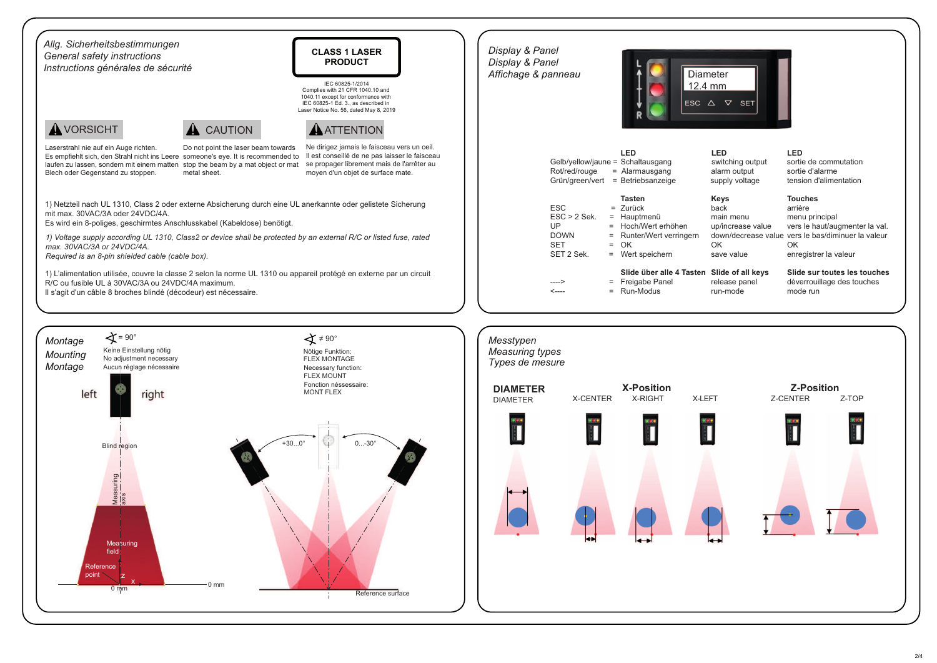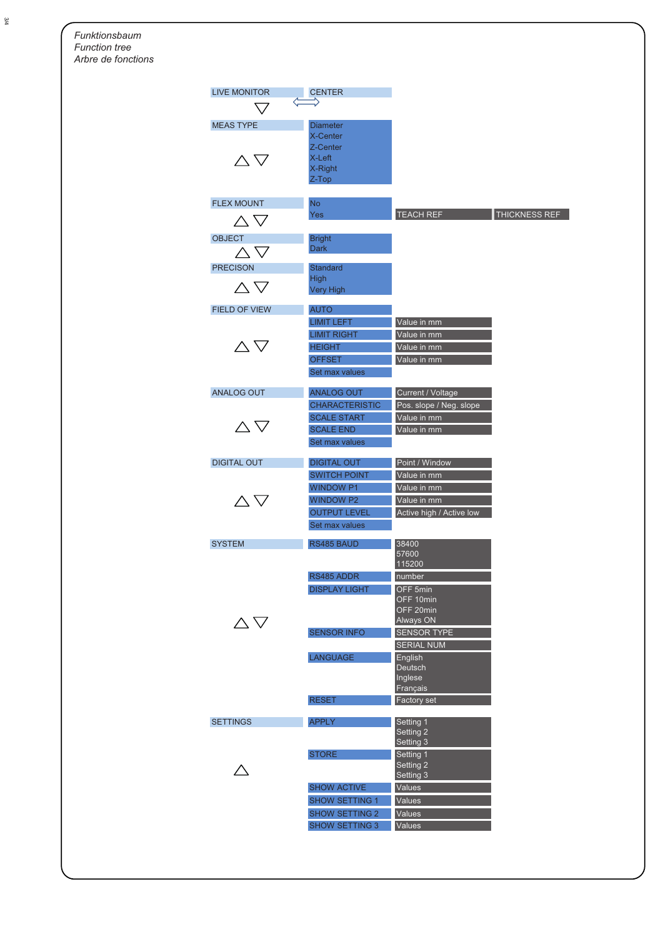*Funktionsbaum Function treeArbre de fonctions*

| <b>LIVE MONITOR</b>         | <b>CENTER</b>                          |                                          |
|-----------------------------|----------------------------------------|------------------------------------------|
|                             |                                        |                                          |
| <b>MEAS TYPE</b>            | <b>Diameter</b>                        |                                          |
|                             | X-Center                               |                                          |
|                             | Z-Center                               |                                          |
| $\triangle \nabla$          | X-Left                                 |                                          |
|                             | X-Right<br>Z-Top                       |                                          |
|                             |                                        |                                          |
| <b>FLEX MOUNT</b>           | <b>No</b>                              |                                          |
|                             | Yes                                    | <b>TEACH REF</b><br><b>THICKNESS REF</b> |
| $\wedge \nabla$             |                                        |                                          |
| <b>OBJECT</b>               | <b>Bright</b>                          |                                          |
| $\wedge \triangledown$      | Dark                                   |                                          |
|                             |                                        |                                          |
| <b>PRECISON</b>             | <b>Standard</b><br><b>High</b>         |                                          |
| $\wedge \nabla$             | <b>Very High</b>                       |                                          |
|                             |                                        |                                          |
| <b>FIELD OF VIEW</b>        | <b>AUTO</b>                            |                                          |
|                             | <b>LIMIT LEFT</b>                      | Value in mm                              |
|                             | <b>LIMIT RIGHT</b>                     | Value in mm                              |
| $\wedge \nabla$             | <b>HEIGHT</b>                          | Value in mm                              |
|                             | <b>OFFSET</b>                          | Value in mm                              |
|                             | Set max values                         |                                          |
|                             | <b>ANALOG OUT</b>                      |                                          |
| <b>ANALOG OUT</b>           |                                        | Current / Voltage                        |
|                             | <b>CHARACTERISTIC</b>                  | Pos. slope / Neg. slope<br>Value in mm   |
| $\triangle \nabla$          | <b>SCALE START</b><br><b>SCALE END</b> |                                          |
|                             |                                        | Value in mm                              |
|                             | Set max values                         |                                          |
| <b>DIGITAL OUT</b>          | <b>DIGITAL OUT</b>                     | Point / Window                           |
|                             | <b>SWITCH POINT</b>                    | Value in mm                              |
|                             | <b>WINDOW P1</b>                       | Value in mm                              |
| $\wedge \nabla$             | <b>WINDOW P2</b>                       | Value in mm                              |
|                             | <b>OUTPUT LEVEL</b>                    | Active high / Active low                 |
|                             | Set max values                         |                                          |
| <b>SYSTEM</b>               | RS485 BAUD                             | 38400                                    |
|                             |                                        | 57600                                    |
|                             |                                        | 115200                                   |
|                             | RS485 ADDR                             | number                                   |
|                             | <b>DISPLAY LIGHT</b>                   | OFF 5min                                 |
|                             |                                        | OFF 10min                                |
|                             |                                        | OFF 20min                                |
| $\triangle\, \triangledown$ | <b>SENSOR INFO</b>                     | Always ON<br><b>SENSOR TYPE</b>          |
|                             |                                        | <b>SERIAL NUM</b>                        |
|                             | <b>LANGUAGE</b>                        | English                                  |
|                             |                                        | Deutsch                                  |
|                             |                                        | Inglese                                  |
|                             |                                        | Français                                 |
|                             | <b>RESET</b>                           | <b>Factory set</b>                       |
| <b>SETTINGS</b>             |                                        |                                          |
|                             | <b>APPLY</b>                           | Setting 1<br>Setting 2                   |
|                             |                                        | Setting 3                                |
|                             | <b>STORE</b>                           | Setting 1                                |
|                             |                                        | Setting 2                                |
|                             |                                        | Setting 3                                |
|                             | <b>SHOW ACTIVE</b>                     | Values                                   |
|                             | <b>SHOW SETTING 1</b>                  | Values                                   |
|                             | <b>SHOW SETTING 2</b>                  | Values                                   |
|                             | <b>SHOW SETTING 3</b>                  | Values                                   |